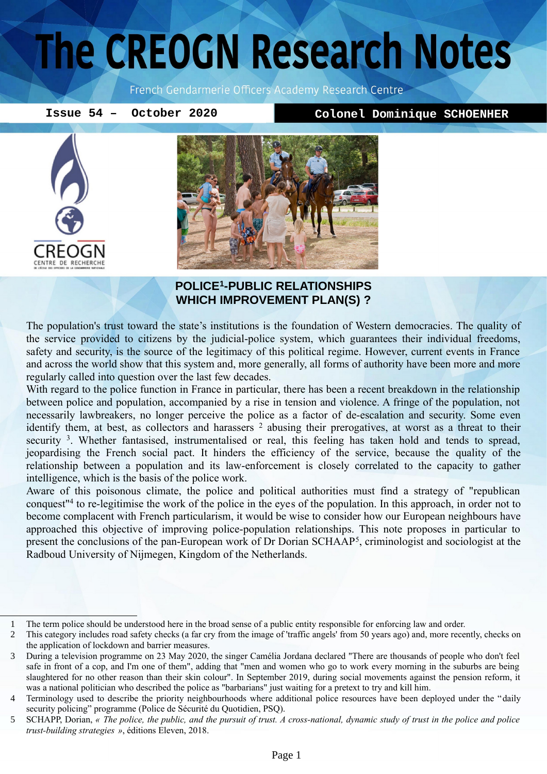# The CREOGN Research Notes

French Gendarmerie Officers Academy Research Centre

**Issue 54 – October 2020 Colonel Dominique SCHOENHER**





#### **POLICE[1](#page-0-0) -PUBLIC RELATIONSHIPS WHICH IMPROVEMENT PLAN(S) ?**

The population's trust toward the state's institutions is the foundation of Western democracies. The quality of the service provided to citizens by the judicial-police system, which guarantees their individual freedoms, safety and security, is the source of the legitimacy of this political regime. However, current events in France and across the world show that this system and, more generally, all forms of authority have been more and more regularly called into question over the last few decades.

With regard to the police function in France in particular, there has been a recent breakdown in the relationship between police and population, accompanied by a rise in tension and violence. A fringe of the population, not necessarily lawbreakers, no longer perceive the police as a factor of de-escalation and security. Some even identifythem, at best, as collectors and harassers <sup>2</sup> abusing their prerogatives, at worst as a threat to their security <sup>[3](#page-0-2)</sup>. Whether fantasised, instrumentalised or real, this feeling has taken hold and tends to spread, jeopardising the French social pact. It hinders the efficiency of the service, because the quality of the relationship between a population and its law-enforcement is closely correlated to the capacity to gather intelligence, which is the basis of the police work.

Aware of this poisonous climate, the police and political authorities must find a strategy of "republican conquest"[4](#page-0-3) to re-legitimise the work of the police in the eyes of the population. In this approach, in order not to become complacent with French particularism, it would be wise to consider how our European neighbours have approached this objective of improving police-population relationships. This note proposes in particular to present the conclusions of the pan-European work of Dr Dorian SCHAAP<sup>[5](#page-0-4)</sup>, criminologist and sociologist at the Radboud University of Nijmegen, Kingdom of the Netherlands.

<span id="page-0-0"></span><sup>1</sup> The term police should be understood here in the broad sense of a public entity responsible for enforcing law and order.

<span id="page-0-1"></span><sup>2</sup> This category includes road safety checks (a far cry from the image of 'traffic angels' from 50 years ago) and, more recently, checks on the application of lockdown and barrier measures.

<span id="page-0-2"></span><sup>3</sup> During a television programme on 23 May 2020, the singer Camélia Jordana declared "There are thousands of people who don't feel safe in front of a cop, and I'm one of them", adding that "men and women who go to work every morning in the suburbs are being slaughtered for no other reason than their skin colour". In September 2019, during social movements against the pension reform, it was a national politician who described the police as "barbarians" just waiting for a pretext to try and kill him.

<span id="page-0-3"></span><sup>4</sup> Terminology used to describe the priority neighbourhoods where additional police resources have been deployed under the "daily security policing" programme (Police de Sécurité du Quotidien, PSQ).

<span id="page-0-4"></span><sup>5</sup> SCHAPP, Dorian, « The police, the public, and the pursuit of trust. A cross-national, dynamic study of trust in the police and police *trust-building strategies »*, éditions Eleven, 2018.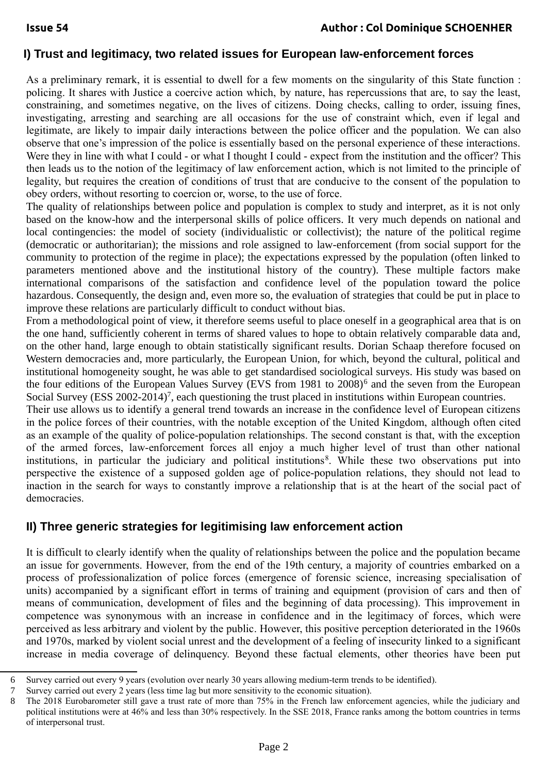### **I) Trust and legitimacy, two related issues for European law-enforcement forces**

As a preliminary remark, it is essential to dwell for a few moments on the singularity of this State function : policing. It shares with Justice a coercive action which, by nature, has repercussions that are, to say the least, constraining, and sometimes negative, on the lives of citizens. Doing checks, calling to order, issuing fines, investigating, arresting and searching are all occasions for the use of constraint which, even if legal and legitimate, are likely to impair daily interactions between the police officer and the population. We can also observe that one's impression of the police is essentially based on the personal experience of these interactions. Were they in line with what I could - or what I thought I could - expect from the institution and the officer? This then leads us to the notion of the legitimacy of law enforcement action, which is not limited to the principle of legality, but requires the creation of conditions of trust that are conducive to the consent of the population to obey orders, without resorting to coercion or, worse, to the use of force.

The quality of relationships between police and population is complex to study and interpret, as it is not only based on the know-how and the interpersonal skills of police officers. It very much depends on national and local contingencies: the model of society (individualistic or collectivist); the nature of the political regime (democratic or authoritarian); the missions and role assigned to law-enforcement (from social support for the community to protection of the regime in place); the expectations expressed by the population (often linked to parameters mentioned above and the institutional history of the country). These multiple factors make international comparisons of the satisfaction and confidence level of the population toward the police hazardous. Consequently, the design and, even more so, the evaluation of strategies that could be put in place to improve these relations are particularly difficult to conduct without bias.

From a methodological point of view, it therefore seems useful to place oneself in a geographical area that is on the one hand, sufficiently coherent in terms of shared values to hope to obtain relatively comparable data and, on the other hand, large enough to obtain statistically significant results. Dorian Schaap therefore focused on Western democracies and, more particularly, the European Union, for which, beyond the cultural, political and institutional homogeneity sought, he was able to get standardised sociological surveys. His study was based on the four editions of the European Values Survey (EVS from 1981 to 2008)<sup>[6](#page-1-0)</sup> and the seven from the European Social Survey (ESS 2002-2014)<sup>[7](#page-1-1)</sup>, each questioning the trust placed in institutions within European countries.

Their use allows us to identify a general trend towards an increase in the confidence level of European citizens in the police forces of their countries, with the notable exception of the United Kingdom, although often cited as an example of the quality of police-population relationships. The second constant is that, with the exception of the armed forces, law-enforcement forces all enjoy a much higher level of trust than other national institutions, in particular the judiciary and political institutions<sup>[8](#page-1-2)</sup>. While these two observations put into perspective the existence of a supposed golden age of police-population relations, they should not lead to inaction in the search for ways to constantly improve a relationship that is at the heart of the social pact of democracies.

#### **II) Three generic strategies for legitimising law enforcement action**

It is difficult to clearly identify when the quality of relationships between the police and the population became an issue for governments. However, from the end of the 19th century, a majority of countries embarked on a process of professionalization of police forces (emergence of forensic science, increasing specialisation of units) accompanied by a significant effort in terms of training and equipment (provision of cars and then of means of communication, development of files and the beginning of data processing). This improvement in competence was synonymous with an increase in confidence and in the legitimacy of forces, which were perceived as less arbitrary and violent by the public. However, this positive perception deteriorated in the 1960s and 1970s, marked by violent social unrest and the development of a feeling of insecurity linked to a significant increase in media coverage of delinquency. Beyond these factual elements, other theories have been put

<span id="page-1-0"></span><sup>6</sup> Survey carried out every 9 years (evolution over nearly 30 years allowing medium-term trends to be identified).<br>7 Survey carried out every 2 years (less time lag but more sensitivity to the economic situation)

<span id="page-1-1"></span><sup>7</sup> Survey carried out every 2 years (less time lag but more sensitivity to the economic situation).

<span id="page-1-2"></span><sup>8</sup> The 2018 Eurobarometer still gave a trust rate of more than 75% in the French law enforcement agencies, while the judiciary and political institutions were at 46% and less than 30% respectively. In the SSE 2018, France ranks among the bottom countries in terms of interpersonal trust.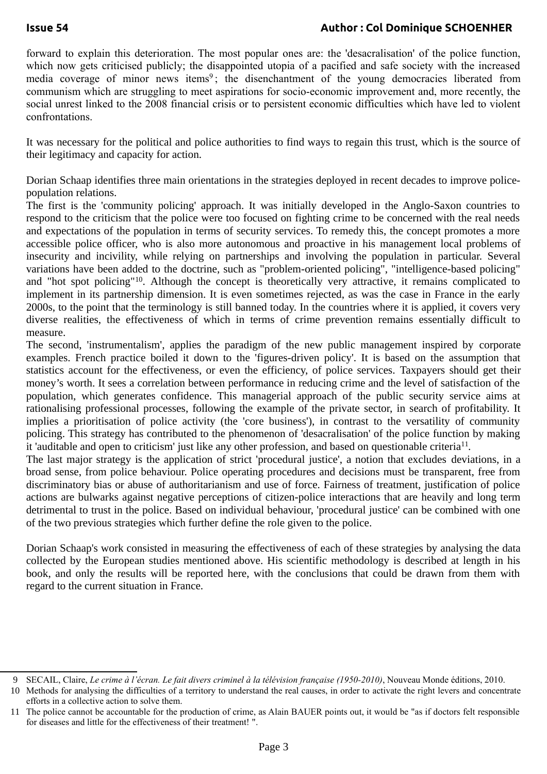forward to explain this deterioration. The most popular ones are: the 'desacralisation' of the police function, which now gets criticised publicly; the disappointed utopia of a pacified and safe society with the increased media coverage of minor news items<sup>[9](#page-2-0)</sup>; the disenchantment of the young democracies liberated from communism which are struggling to meet aspirations for socio-economic improvement and, more recently, the social unrest linked to the 2008 financial crisis or to persistent economic difficulties which have led to violent confrontations.

It was necessary for the political and police authorities to find ways to regain this trust, which is the source of their legitimacy and capacity for action.

Dorian Schaap identifies three main orientations in the strategies deployed in recent decades to improve policepopulation relations.

The first is the 'community policing' approach. It was initially developed in the Anglo-Saxon countries to respond to the criticism that the police were too focused on fighting crime to be concerned with the real needs and expectations of the population in terms of security services. To remedy this, the concept promotes a more accessible police officer, who is also more autonomous and proactive in his management local problems of insecurity and incivility, while relying on partnerships and involving the population in particular. Several variations have been added to the doctrine, such as "problem-oriented policing", "intelligence-based policing" and "hot spot policing"<sup>[10](#page-2-1)</sup>. Although the concept is theoretically very attractive, it remains complicated to implement in its partnership dimension. It is even sometimes rejected, as was the case in France in the early 2000s, to the point that the terminology is still banned today. In the countries where it is applied, it covers very diverse realities, the effectiveness of which in terms of crime prevention remains essentially difficult to measure.

The second, 'instrumentalism', applies the paradigm of the new public management inspired by corporate examples. French practice boiled it down to the 'figures-driven policy'. It is based on the assumption that statistics account for the effectiveness, or even the efficiency, of police services. Taxpayers should get their money's worth. It sees a correlation between performance in reducing crime and the level of satisfaction of the population, which generates confidence. This managerial approach of the public security service aims at rationalising professional processes, following the example of the private sector, in search of profitability. It implies a prioritisation of police activity (the 'core business'), in contrast to the versatility of community policing. This strategy has contributed to the phenomenon of 'desacralisation' of the police function by making it 'auditable and open to criticism' just like any other profession, and based on questionable criteria<sup>[11](#page-2-2)</sup>.

The last major strategy is the application of strict 'procedural justice', a notion that excludes deviations, in a broad sense, from police behaviour. Police operating procedures and decisions must be transparent, free from discriminatory bias or abuse of authoritarianism and use of force. Fairness of treatment, justification of police actions are bulwarks against negative perceptions of citizen-police interactions that are heavily and long term detrimental to trust in the police. Based on individual behaviour, 'procedural justice' can be combined with one of the two previous strategies which further define the role given to the police.

Dorian Schaap's work consisted in measuring the effectiveness of each of these strategies by analysing the data collected by the European studies mentioned above. His scientific methodology is described at length in his book, and only the results will be reported here, with the conclusions that could be drawn from them with regard to the current situation in France.

<span id="page-2-0"></span><sup>9</sup> SECAIL, Claire, *Le crime à l'écran. Le fait divers criminel à la télévision française (1950-2010)*, Nouveau Monde éditions, 2010.

<span id="page-2-1"></span><sup>10</sup> Methods for analysing the difficulties of a territory to understand the real causes, in order to activate the right levers and concentrate efforts in a collective action to solve them.

<span id="page-2-2"></span><sup>11</sup> The police cannot be accountable for the production of crime, as Alain BAUER points out, it would be "as if doctors felt responsible for diseases and little for the effectiveness of their treatment! ".